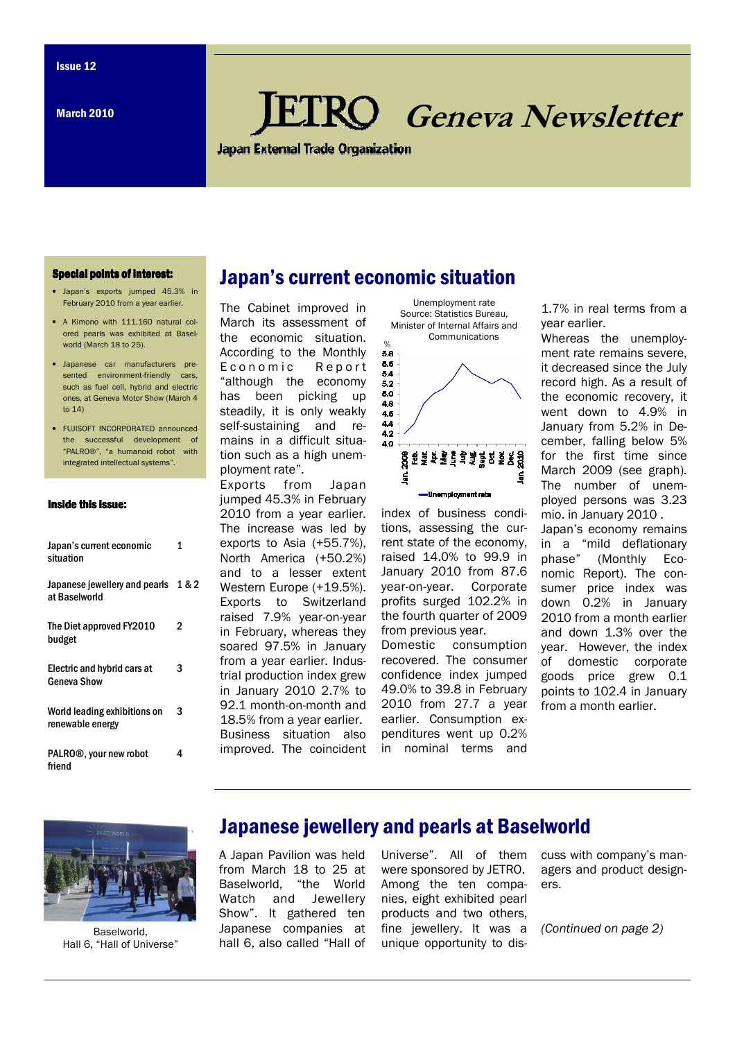March 2010

# Geneva Newsletter

**Japan External Trade Organization** 

#### **Special points of interest:**

- Japan's exports jumped 45.3% in February 2010 from a year earlier.
- A Kimono with 111,160 natural colored pearls was exhibited at Baselworld (March 18 to 25).
- Japanese car manufacturers presented environment-friendly cars such as fuel cell, hybrid and electric ones, at Geneva Motor Show (March 4 to 14)
- FUJISOFT INCORPORATED announced the successful development of "PALRO®", "a humanoid robot with integrated intellectual systems".

#### Inside this issue:

| Japan's current economic<br>situation                | 1 |
|------------------------------------------------------|---|
| Japanese jewellery and pearls 1 & 2<br>at Baselworld |   |
| The Diet approved FY2010<br>budget                   | 2 |
| Electric and hybrid cars at<br>Geneva Show           | 3 |
| World leading exhibitions on<br>renewable energy     | 3 |
| PALRO®, your new robot<br>friend                     | 4 |

### Japan's current economic situation

The Cabinet improved in March its assessment of the economic situation. According to the Monthly E conomic Report "although the economy has been picking up steadily, it is only weakly self-sustaining and remains in a difficult situation such as a high unemployment rate".

Exports from Japan jumped 45.3% in February 2010 from a year earlier. The increase was led by exports to Asia (+55.7%), North America (+50.2%) and to a lesser extent Western Europe (+19.5%). Exports to Switzerland raised 7.9% year-on-year in February, whereas they soared 97.5% in January from a year earlier. Industrial production index grew in January 2010 2.7% to 92.1 month-on-month and 18.5% from a year earlier. Business situation also improved. The coincident



Unemployment rate

index of business conditions, assessing the current state of the economy, raised 14.0% to 99.9 in January 2010 from 87.6 year-on-year. Corporate profits surged 102.2% in the fourth quarter of 2009 from previous year. Domestic consumption

recovered. The consumer confidence index jumped 49.0% to 39.8 in February 2010 from 27.7 a year earlier. Consumption expenditures went up 0.2% in nominal terms and

1.7% in real terms from a year earlier.

Whereas the unemployment rate remains severe, it decreased since the July record high. As a result of the economic recovery, it went down to 4.9% in January from 5.2% in December, falling below 5% for the first time since March 2009 (see graph). The number of unemployed persons was 3.23 mio. in January 2010 . Japan's economy remains in a "mild deflationary phase" (Monthly Economic Report). The consumer price index was down 0.2% in January 2010 from a month earlier and down 1.3% over the

year. However, the index of domestic corporate goods price grew 0.1 points to 102.4 in January from a month earlier.

Baselworld, Hall 6, "Hall of Universe"

#### Japanese jewellery and pearls at Baselworld

A Japan Pavilion was held from March 18 to 25 at Baselworld, "the World Watch and Jewellery Show". It gathered ten Japanese companies at hall 6, also called "Hall of Universe". All of them were sponsored by JETRO. Among the ten companies, eight exhibited pearl products and two others, fine jewellery. It was a unique opportunity to dis-

cuss with company's managers and product designers.

(Continued on page 2)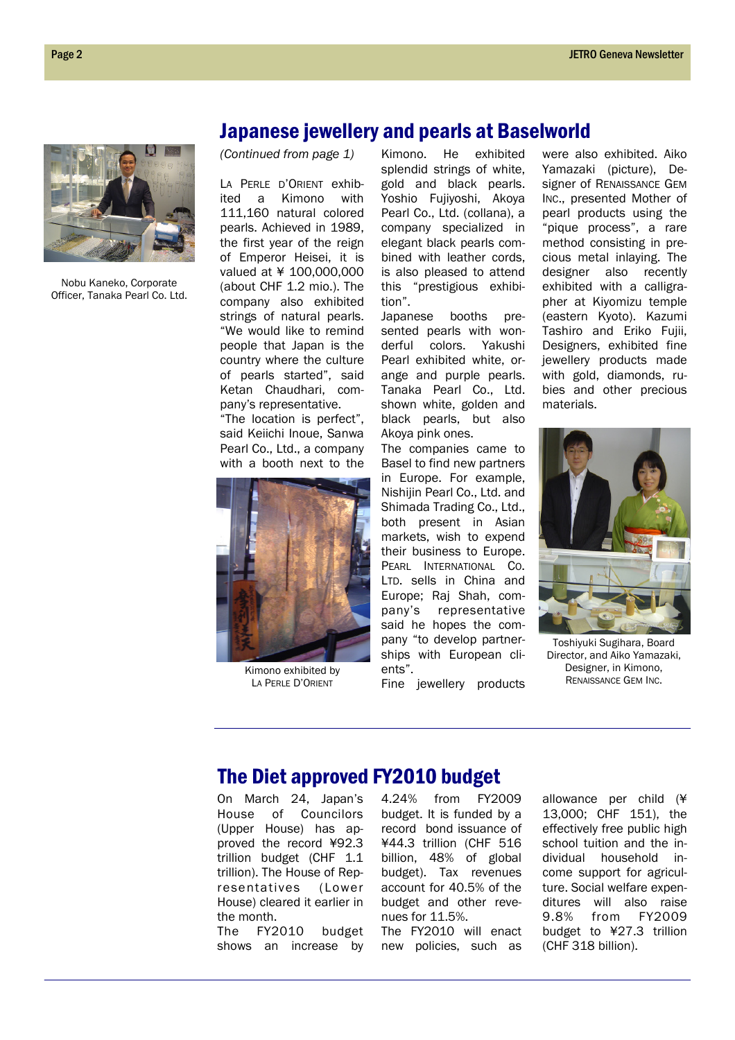

Nobu Kaneko, Corporate Officer, Tanaka Pearl Co. Ltd.

#### Japanese jewellery and pearls at Baselworld

(Continued from page 1)

LA PERLE D'ORIENT exhibited a Kimono with 111,160 natural colored pearls. Achieved in 1989, the first year of the reign of Emperor Heisei, it is valued at ¥ 100,000,000 (about CHF 1.2 mio.). The company also exhibited strings of natural pearls. "We would like to remind people that Japan is the country where the culture of pearls started", said Ketan Chaudhari, company's representative.

"The location is perfect", said Keiichi Inoue, Sanwa Pearl Co., Ltd., a company with a booth next to the



Kimono exhibited by LA PERLE D'ORIENT

Kimono. He exhibited splendid strings of white, gold and black pearls. Yoshio Fujiyoshi, Akoya Pearl Co., Ltd. (collana), a company specialized in elegant black pearls combined with leather cords, is also pleased to attend this "prestigious exhibition".

Japanese booths presented pearls with wonderful colors. Yakushi Pearl exhibited white, orange and purple pearls. Tanaka Pearl Co., Ltd. shown white, golden and black pearls, but also Akoya pink ones.

The companies came to Basel to find new partners in Europe. For example, Nishijin Pearl Co., Ltd. and Shimada Trading Co., Ltd., both present in Asian markets, wish to expend their business to Europe. PEARL INTERNATIONAL CO. LTD. sells in China and Europe; Raj Shah, company's representative said he hopes the company "to develop partnerships with European clients".

Fine jewellery products

were also exhibited. Aiko Yamazaki (picture), Designer of RENAISSANCE GEM INC., presented Mother of pearl products using the "pique process", a rare method consisting in precious metal inlaying. The designer also recently exhibited with a calligrapher at Kiyomizu temple (eastern Kyoto). Kazumi Tashiro and Eriko Fujii, Designers, exhibited fine jewellery products made with gold, diamonds, rubies and other precious materials.



Toshiyuki Sugihara, Board Director, and Aiko Yamazaki, Designer, in Kimono, RENAISSANCE GEM INC.

#### The Diet approved FY2010 budget

On March 24, Japan's House of Councilors (Upper House) has approved the record ¥92.3 trillion budget (CHF 1.1 trillion). The House of Representatives (Lower House) cleared it earlier in the month.

The FY2010 budget shows an increase by

4.24% from FY2009 budget. It is funded by a record bond issuance of ¥44.3 trillion (CHF 516 billion, 48% of global budget). Tax revenues account for 40.5% of the budget and other revenues for 11.5%.

The FY2010 will enact new policies, such as allowance per child (¥ 13,000; CHF 151), the effectively free public high school tuition and the individual household income support for agriculture. Social welfare expenditures will also raise 9.8% from FY2009 budget to ¥27.3 trillion (CHF 318 billion).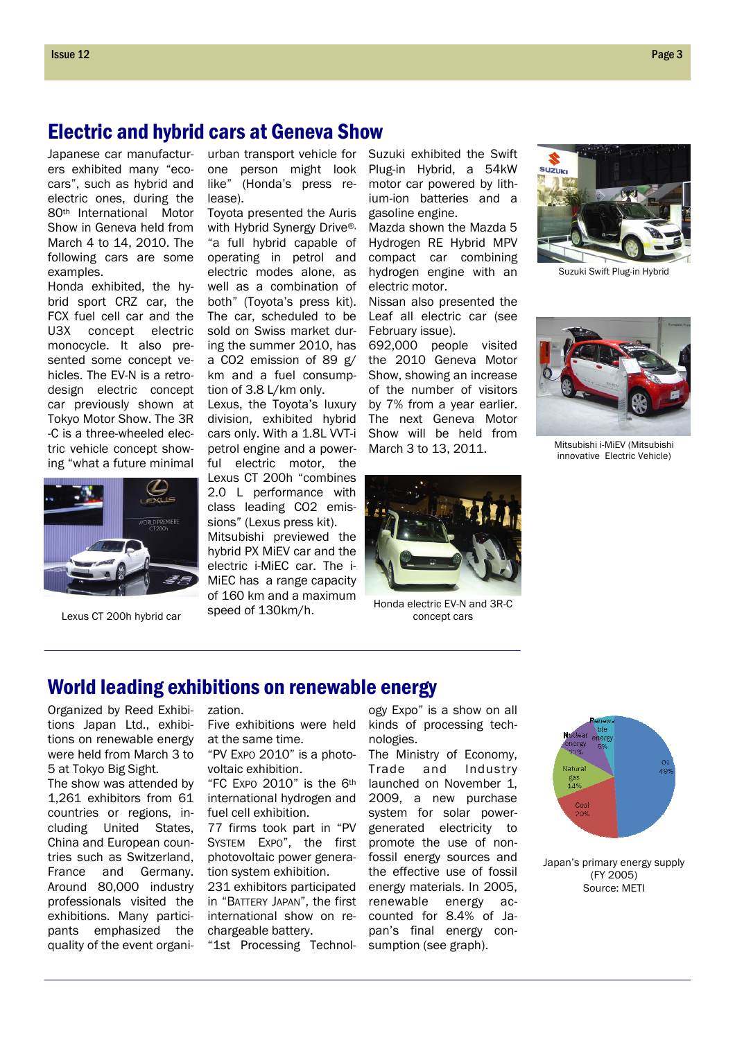## Electric and hybrid cars at Geneva Show

Japanese car manufacturers exhibited many "ecocars", such as hybrid and electric ones, during the 80th International Motor Show in Geneva held from March 4 to 14, 2010. The following cars are some examples.

Honda exhibited, the hybrid sport CRZ car, the FCX fuel cell car and the U3X concept electric monocycle. It also presented some concept vehicles. The EV-N is a retrodesign electric concept car previously shown at Tokyo Motor Show. The 3R -C is a three-wheeled electric vehicle concept showing "what a future minimal



Lexus CT 200h hybrid car

urban transport vehicle for one person might look like" (Honda's press release).

Toyota presented the Auris with Hybrid Synergy Drive®, "a full hybrid capable of operating in petrol and electric modes alone, as well as a combination of both" (Toyota's press kit). The car, scheduled to be sold on Swiss market during the summer 2010, has a CO2 emission of 89 g/ km and a fuel consumption of 3.8 L/km only.

Lexus, the Toyota's luxury division, exhibited hybrid cars only. With a 1.8L VVT-i petrol engine and a powerful electric motor, the Lexus CT 200h "combines 2.0 L performance with class leading CO2 emissions" (Lexus press kit). Mitsubishi previewed the hybrid PX MiEV car and the electric i-MiEC car. The i-MiEC has a range capacity of 160 km and a maximum speed of 130km/h.

Suzuki exhibited the Swift Plug-in Hybrid, a 54kW motor car powered by lithium-ion batteries and a gasoline engine.

Mazda shown the Mazda 5 Hydrogen RE Hybrid MPV compact car combining hydrogen engine with an electric motor.

Nissan also presented the Leaf all electric car (see February issue).

692,000 people visited the 2010 Geneva Motor Show, showing an increase of the number of visitors by 7% from a year earlier. The next Geneva Motor Show will be held from Mitsubishi i-MiEV (Mitsubishi i-MiEV (Mitsubishi)



Honda electric EV-N and 3R-C concept cars



Suzuki Swift Plug-in Hybrid



innovative Electric Vehicle)

#### World leading exhibitions on renewable energy

Organized by Reed Exhibitions Japan Ltd., exhibitions on renewable energy were held from March 3 to 5 at Tokyo Big Sight.

The show was attended by 1,261 exhibitors from 61 countries or regions, including United States, China and European countries such as Switzerland, France and Germany. Around 80,000 industry professionals visited the exhibitions. Many participants emphasized the quality of the event organi-

zation. Five exhibitions were held

at the same time. "PV EXPO 2010" is a photovoltaic exhibition.

"FC EXPO 2010" is the 6th international hydrogen and fuel cell exhibition.

77 firms took part in "PV SYSTEM EXPO", the first photovoltaic power generation system exhibition.

231 exhibitors participated in "BATTERY JAPAN", the first international show on rechargeable battery.

"1st Processing Technol-

ogy Expo" is a show on all kinds of processing technologies.

The Ministry of Economy, Trade and Industry launched on November 1, 2009, a new purchase system for solar powergenerated electricity to promote the use of nonfossil energy sources and the effective use of fossil energy materials. In 2005, renewable energy accounted for 8.4% of Japan's final energy consumption (see graph).



Japan's primary energy supply (FY 2005) Source: METI